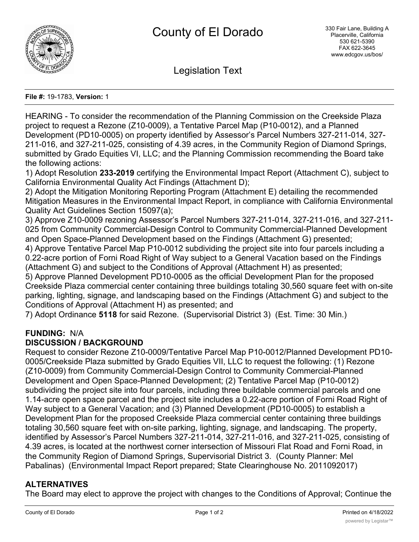

Legislation Text

#### **File #:** 19-1783, **Version:** 1

HEARING - To consider the recommendation of the Planning Commission on the Creekside Plaza project to request a Rezone (Z10-0009), a Tentative Parcel Map (P10-0012), and a Planned Development (PD10-0005) on property identified by Assessor's Parcel Numbers 327-211-014, 327- 211-016, and 327-211-025, consisting of 4.39 acres, in the Community Region of Diamond Springs, submitted by Grado Equities VI, LLC; and the Planning Commission recommending the Board take the following actions:

1) Adopt Resolution **233-2019** certifying the Environmental Impact Report (Attachment C), subject to California Environmental Quality Act Findings (Attachment D);

2) Adopt the Mitigation Monitoring Reporting Program (Attachment E) detailing the recommended Mitigation Measures in the Environmental Impact Report, in compliance with California Environmental Quality Act Guidelines Section 15097(a);

3) Approve Z10-0009 rezoning Assessor's Parcel Numbers 327-211-014, 327-211-016, and 327-211- 025 from Community Commercial-Design Control to Community Commercial-Planned Development and Open Space-Planned Development based on the Findings (Attachment G) presented;

4) Approve Tentative Parcel Map P10-0012 subdividing the project site into four parcels including a 0.22-acre portion of Forni Road Right of Way subject to a General Vacation based on the Findings (Attachment G) and subject to the Conditions of Approval (Attachment H) as presented;

5) Approve Planned Development PD10-0005 as the official Development Plan for the proposed Creekside Plaza commercial center containing three buildings totaling 30,560 square feet with on-site parking, lighting, signage, and landscaping based on the Findings (Attachment G) and subject to the Conditions of Approval (Attachment H) as presented; and

7) Adopt Ordinance **5118** for said Rezone. (Supervisorial District 3) (Est. Time: 30 Min.)

# **FUNDING:** N/A

# **DISCUSSION / BACKGROUND**

Request to consider Rezone Z10-0009/Tentative Parcel Map P10-0012/Planned Development PD10- 0005/Creekside Plaza submitted by Grado Equities VII, LLC to request the following: (1) Rezone (Z10-0009) from Community Commercial-Design Control to Community Commercial-Planned Development and Open Space-Planned Development; (2) Tentative Parcel Map (P10-0012) subdividing the project site into four parcels, including three buildable commercial parcels and one 1.14-acre open space parcel and the project site includes a 0.22-acre portion of Forni Road Right of Way subject to a General Vacation; and (3) Planned Development (PD10-0005) to establish a Development Plan for the proposed Creekside Plaza commercial center containing three buildings totaling 30,560 square feet with on-site parking, lighting, signage, and landscaping. The property, identified by Assessor's Parcel Numbers 327-211-014, 327-211-016, and 327-211-025, consisting of 4.39 acres, is located at the northwest corner intersection of Missouri Flat Road and Forni Road, in the Community Region of Diamond Springs, Supervisorial District 3. (County Planner: Mel Pabalinas) (Environmental Impact Report prepared; State Clearinghouse No. 2011092017)

# **ALTERNATIVES**

The Board may elect to approve the project with changes to the Conditions of Approval; Continue the